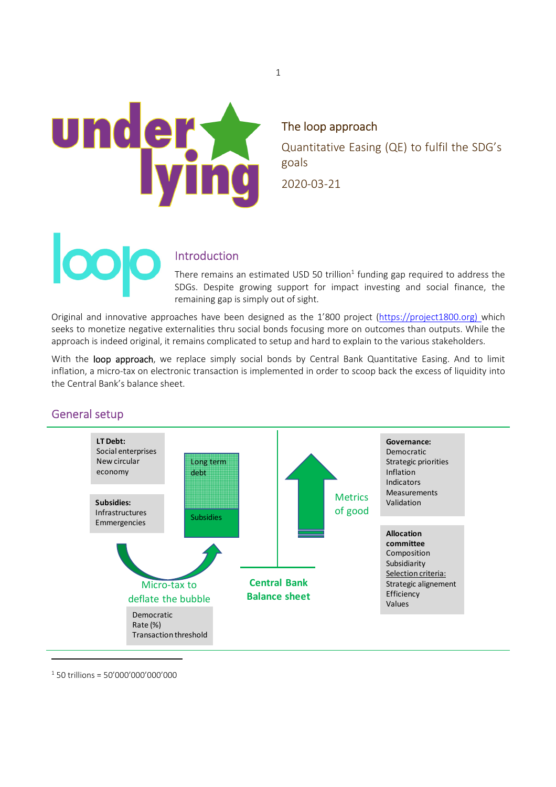

### The loop approach

Quantitative Easing (QE) to fulfil the SDG's goals 2020-03-21

# Introduction

There remains an estimated USD 50 trillion<sup>1</sup> funding gap required to address the SDGs. Despite growing support for impact investing and social finance, the remaining gap is simply out of sight.

Original and innovative approaches have been designed as the 1'800 project (https://project1800.org) which seeks to monetize negative externalities thru social bonds focusing more on outcomes than outputs. While the approach is indeed original, it remains complicated to setup and hard to explain to the various stakeholders.

With the loop approach, we replace simply social bonds by Central Bank Quantitative Easing. And to limit inflation, a micro-tax on electronic transaction is implemented in order to scoop back the excess of liquidity into the Central Bank's balance sheet.

# General setup



 $1$  50 trillions = 50'000'000'000'000

1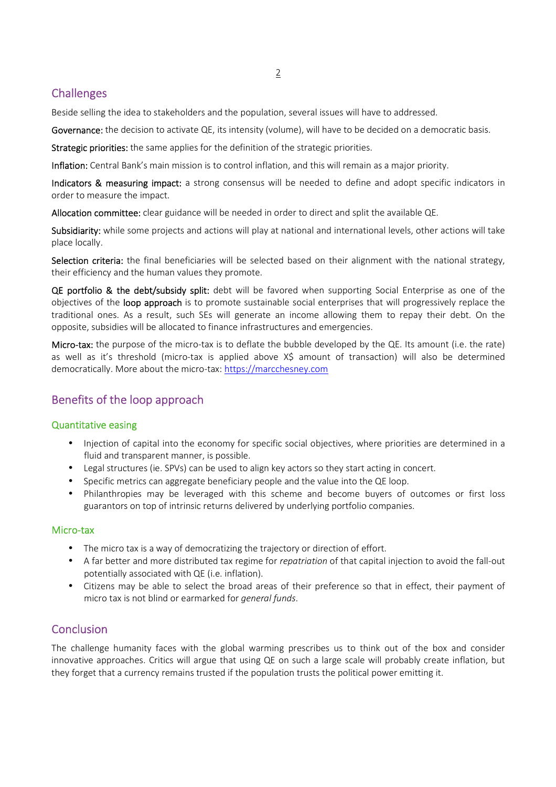# **Challenges**

Beside selling the idea to stakeholders and the population, several issues will have to addressed.

Governance: the decision to activate QE, its intensity (volume), will have to be decided on a democratic basis.

Strategic priorities: the same applies for the definition of the strategic priorities.

Inflation: Central Bank's main mission is to control inflation, and this will remain as a major priority.

Indicators & measuring impact: a strong consensus will be needed to define and adopt specific indicators in order to measure the impact.

Allocation committee: clear guidance will be needed in order to direct and split the available QE.

Subsidiarity: while some projects and actions will play at national and international levels, other actions will take place locally.

Selection criteria: the final beneficiaries will be selected based on their alignment with the national strategy, their efficiency and the human values they promote.

QE portfolio & the debt/subsidy split: debt will be favored when supporting Social Enterprise as one of the objectives of the loop approach is to promote sustainable social enterprises that will progressively replace the traditional ones. As a result, such SEs will generate an income allowing them to repay their debt. On the opposite, subsidies will be allocated to finance infrastructures and emergencies.

Micro-tax: the purpose of the micro-tax is to deflate the bubble developed by the QE. Its amount (i.e. the rate) as well as it's threshold (micro-tax is applied above X\$ amount of transaction) will also be determined democratically. More about the micro-tax: https://marcchesney.com

# Benefits of the loop approach

### Quantitative easing

- Injection of capital into the economy for specific social objectives, where priorities are determined in a fluid and transparent manner, is possible.
- Legal structures (ie. SPVs) can be used to align key actors so they start acting in concert.
- Specific metrics can aggregate beneficiary people and the value into the QE loop.
- Philanthropies may be leveraged with this scheme and become buyers of outcomes or first loss guarantors on top of intrinsic returns delivered by underlying portfolio companies.

### Micro-tax

- The micro tax is a way of democratizing the trajectory or direction of effort.
- A far better and more distributed tax regime for *repatriation* of that capital injection to avoid the fall-out potentially associated with QE (i.e. inflation).
- Citizens may be able to select the broad areas of their preference so that in effect, their payment of micro tax is not blind or earmarked for *general funds*.

# **Conclusion**

The challenge humanity faces with the global warming prescribes us to think out of the box and consider innovative approaches. Critics will argue that using QE on such a large scale will probably create inflation, but they forget that a currency remains trusted if the population trusts the political power emitting it.